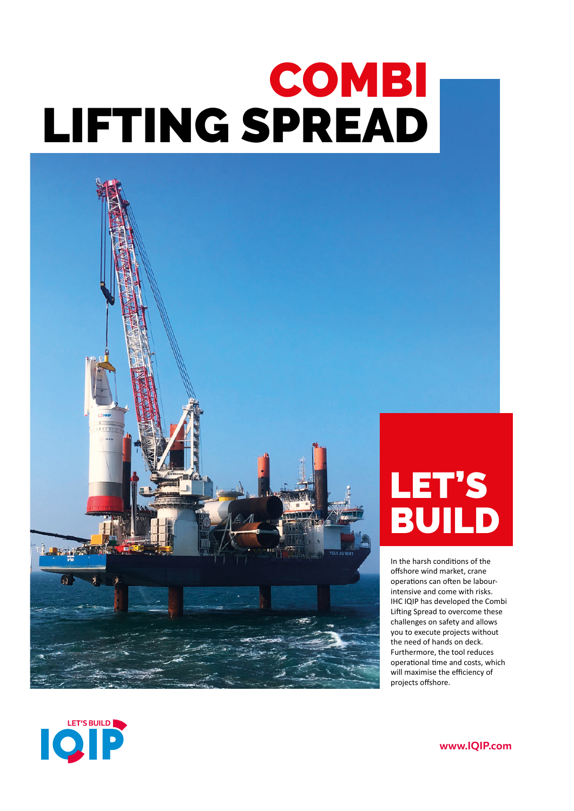# COMBI LIFTING SPREAD



## LET'S BUILD

In the harsh conditions of the offshore wind market, crane operations can often be labourintensive and come with risks. IHC IQIP has developed the Combi Lifting Spread to overcome these challenges on safety and allows you to execute projects without the need of hands on deck. Furthermore, the tool reduces operational time and costs, which will maximise the efficiency of projects offshore.



www.IQIP.com